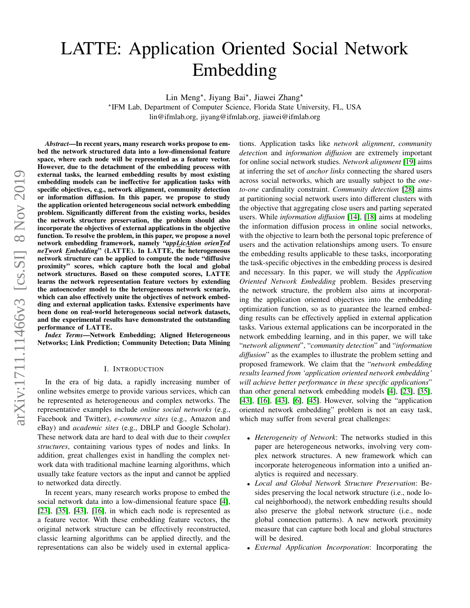# LATTE: Application Oriented Social Network Embedding

Lin Meng<sup>\*</sup>, Jiyang Bai<sup>\*</sup>, Jiawei Zhang<sup>\*</sup>

? IFM Lab, Department of Computer Science, Florida State University, FL, USA lin@ifmlab.org, jiyang@ifmlab.org, jiawei@ifmlab.org

*Abstract*—In recent years, many research works propose to embed the network structured data into a low-dimensional feature space, where each node will be represented as a feature vector. However, due to the detachment of the embedding process with external tasks, the learned embedding results by most existing embedding models can be ineffective for application tasks with specific objectives, e.g., network alignment, community detection or information diffusion. In this paper, we propose to study the application oriented heterogeneous social network embedding problem. Significantly different from the existing works, besides the network structure preservation, the problem should also incorporate the objectives of external applications in the objective function. To resolve the problem, in this paper, we propose a novel network embedding framework, namely "*appLicAtion orienTed neTwork Embedding*" (LATTE). In LATTE, the heterogeneous network structure can be applied to compute the node "diffusive proximity" scores, which capture both the local and global network structures. Based on these computed scores, LATTE learns the network representation feature vectors by extending the autoencoder model to the heterogeneous network scenario, which can also effectively unite the objectives of network embedding and external application tasks. Extensive experiments have been done on real-world heterogeneous social network datasets, and the experimental results have demonstrated the outstanding performance of LATTE.

*Index Terms*—Network Embedding; Aligned Heterogeneous Networks; Link Prediction; Community Detection; Data Mining

## I. INTRODUCTION

In the era of big data, a rapidly increasing number of online websites emerge to provide various services, which can be represented as heterogeneous and complex networks. The representative examples include *online social networks* (e.g., Facebook and Twitter), *e-commerce sites* (e.g., Amazon and eBay) and *academic sites* (e.g., DBLP and Google Scholar). These network data are hard to deal with due to their *complex structures*, containing various types of nodes and links. In addition, great challenges exist in handling the complex network data with traditional machine learning algorithms, which usually take feature vectors as the input and cannot be applied to networked data directly.

In recent years, many research works propose to embed the social network data into a low-dimensional feature space [\[4\]](#page-9-0), [\[23\]](#page-9-1), [\[35\]](#page-9-2), [\[43\]](#page-9-3), [\[16\]](#page-9-4), in which each node is represented as a feature vector. With these embedding feature vectors, the original network structure can be effectively reconstructed, classic learning algorithms can be applied directly, and the representations can also be widely used in external applications. Application tasks like *network alignment*, *community detection* and *information diffusion* are extremely important for online social network studies. *Network alignment* [\[19\]](#page-9-5) aims at inferring the set of *anchor links* connecting the shared users across social networks, which are usually subject to the *oneto-one* cardinality constraint. *Community detection* [\[28\]](#page-9-6) aims at partitioning social network users into different clusters with the objective that aggregating close users and parting seperated users. While *information diffusion* [\[14\]](#page-9-7), [\[18\]](#page-9-8) aims at modeling the information diffusion process in online social networks, with the objective to learn both the personal topic preference of users and the activation relationships among users. To ensure the embedding results applicable to these tasks, incorporating the task-specific objectives in the embedding process is desired and necessary. In this paper, we will study the *Application Oriented Network Embedding* problem. Besides preserving the network structure, the problem also aims at incorporating the application oriented objectives into the embedding optimization function, so as to guarantee the learned embedding results can be effectively applied in external application tasks. Various external applications can be incorporated in the network embedding learning, and in this paper, we will take "*network alignment*", "*community detection*" and "*information diffusion*" as the examples to illustrate the problem setting and proposed framework. We claim that the "*network embedding results learned from 'application oriented network embedding' will achieve better performance in these specific applications*" than other general network embedding models [\[4\]](#page-9-0), [\[23\]](#page-9-1), [\[35\]](#page-9-2), [\[43\]](#page-9-3), [\[16\]](#page-9-4), [\[43\]](#page-9-3), [\[6\]](#page-9-9), [\[45\]](#page-9-10). However, solving the "application oriented network embedding" problem is not an easy task, which may suffer from several great challenges:

- *Heterogeneity of Network*: The networks studied in this paper are heterogeneous networks, involving very complex network structures. A new framework which can incorporate heterogeneous information into a unified analytics is required and necessary.
- *Local and Global Network Structure Preservation*: Besides preserving the local network structure (i.e., node local neighborhood), the network embedding results should also preserve the global network structure (i.e., node global connection patterns). A new network proximity measure that can capture both local and global structures will be desired.
- *External Application Incorporation*: Incorporating the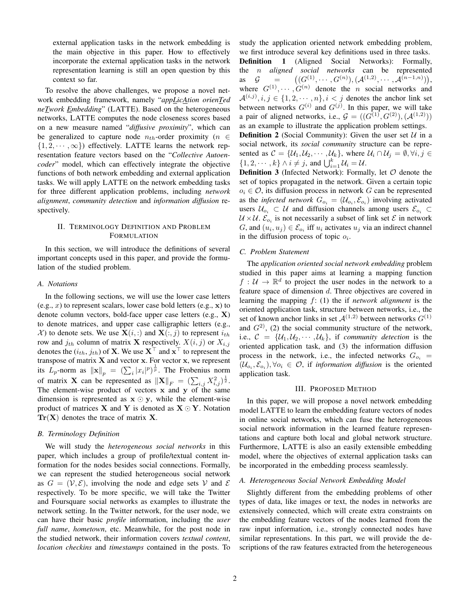external application tasks in the network embedding is the main objective in this paper. How to effectively incorporate the external application tasks in the network representation learning is still an open question by this context so far.

To resolve the above challenges, we propose a novel network embedding framework, namely "*appLicAtion orienTed neTwork Embedding*" (LATTE). Based on the heterogeneous networks, LATTE computes the node closeness scores based on a new measure named "*diffusive proximity*", which can be generalized to capture node  $n_{th}$ -order proximity ( $n \in$  $\{1, 2, \dots, \infty\}$  effectively. LATTE learns the network representation feature vectors based on the "*Collective Autoencoder*" model, which can effectively integrate the objective functions of both network embedding and external application tasks. We will apply LATTE on the network embedding tasks for three different application problems, including *network alignment*, *community detection* and *information diffusion* respectively.

# II. TERMINOLOGY DEFINITION AND PROBLEM FORMULATION

In this section, we will introduce the definitions of several important concepts used in this paper, and provide the formulation of the studied problem.

## *A. Notations*

In the following sections, we will use the lower case letters  $(e.g., x)$  to represent scalars, lower case bold letters  $(e.g., x)$  to denote column vectors, bold-face upper case letters (e.g., X) to denote matrices, and upper case calligraphic letters (e.g.,  $X$ ) to denote sets. We use  $X(i,:)$  and  $X(:, j)$  to represent  $i_{th}$ row and  $j_{th}$  column of matrix **X** respectively.  $X(i, j)$  or  $X_{i,j}$ denotes the  $(i_{th}, j_{th})$  of **X**. We use  $\mathbf{X}^{\top}$  and  $\mathbf{x}^{\top}$  to represent the transpose of matrix X and vector x. For vector x, we represent its  $\hat{L}_p$ -norm as  $\|\mathbf{x}\|_p = (\sum_i |x_i|^p)^{\frac{1}{p}}$ . The Frobenius norm of matrix **X** can be represented as  $||\mathbf{X}||_F = (\sum_{i,j} X_{i,j}^2)^{\frac{1}{2}}$ . The element-wise product of vectors  $x$  and  $y$  of the same dimension is represented as  $x \odot y$ , while the element-wise product of matrices **X** and **Y** is denoted as  $X \odot Y$ . Notation  $\text{Tr}(\mathbf{X})$  denotes the trace of matrix **X**.

## *B. Terminology Definition*

We will study the *heterogeneous social networks* in this paper, which includes a group of profile/textual content information for the nodes besides social connections. Formally, we can represent the studied heterogeneous social network as  $G = (\mathcal{V}, \mathcal{E})$ , involving the node and edge sets V and  $\mathcal E$ respectively. To be more specific, we will take the Twitter and Foursquare social networks as examples to illustrate the network setting. In the Twitter network, for the user node, we can have their basic *profile* information, including the *user full name*, *hometown*, etc. Meanwhile, for the post node in the studied network, their information covers *textual content*, *location checkins* and *timestamps* contained in the posts. To study the application oriented network embedding problem, we first introduce several key definitions used in three tasks. Definition 1 (Aligned Social Networks): Formally, the n *aligned social networks* can be represented as  $G =$  $((G^{(1)},\cdots,G^{(n)}),(\mathcal{A}^{(1,2)},\cdots,\mathcal{A}^{(n-1,n)})),$ where  $G^{(1)}, \cdots, G^{(n)}$  denote the *n* social networks and  $\mathcal{A}^{(i,j)}, i, j \in \{1, 2, \cdots, n\}, i < j$  denotes the anchor link set between networks  $G^{(i)}$  and  $G^{(j)}$ . In this paper, we will take a pair of aligned networks, i.e.,  $G = ((G^{(1)}, G^{(2)}), (A^{(1,2)}))$ as an example to illustrate the application problem settings.

**Definition 2** (Social Community): Given the user set  $U$  in a social network, its *social community* structure can be represented as  $C = \{U_1, U_2, \cdots, U_k\}$ , where  $U_i \cap U_j = \emptyset, \forall i, j \in$  $\{1, 2, \cdots, k\} \wedge i \neq j$ , and  $\bigcup_{i=1}^{k} \mathcal{U}_i = \mathcal{U}$ .

**Definition 3** (Infected Network): Formally, let  $O$  denote the set of topics propagated in the network. Given a certain topic  $o_i \in \mathcal{O}$ , its diffusion process in network G can be represented as the *infected network*  $G_{o_i} = (\mathcal{U}_{o_i}, \mathcal{E}_{o_i})$  involving activated users  $U_{o_i} \subset U$  and diffusion channels among users  $\mathcal{E}_{o_i} \subset$  $\mathcal{U} \times \mathcal{U}$ .  $\mathcal{E}_{o_i}$  is not necessarily a subset of link set  $\mathcal{E}$  in network G, and  $(u_i, u_j) \in \mathcal{E}_{o_i}$  iff  $u_i$  activates  $u_j$  via an indirect channel in the diffusion process of topic  $o_i$ .

#### *C. Problem Statement*

The *application oriented social network embedding* problem studied in this paper aims at learning a mapping function  $f: \mathcal{U} \to \mathbb{R}^d$  to project the user nodes in the network to a feature space of dimension d. Three objectives are covered in learning the mapping f: (1) the if *network alignment* is the oriented application task, structure between networks, i.e., the set of known anchor links in set  $\mathcal{A}^{(1,2)}$  between networks  $G^{(1)}$ and  $G^{2}$ , (2) the social community structure of the network, i.e.,  $C = \{U_1, U_2, \cdots, U_k\}$ , if *community detection* is the oriented application task, and (3) the information diffusion process in the network, i.e., the infected networks  $G_{o_i}$  =  $(\mathcal{U}_{o_i}, \mathcal{E}_{o_i}), \forall o_i \in \mathcal{O}$ , if *information diffusion* is the oriented application task.

## III. PROPOSED METHOD

In this paper, we will propose a novel network embedding model LATTE to learn the embedding feature vectors of nodes in online social networks, which can fuse the heterogeneous social network information in the learned feature representations and capture both local and global network structure. Furthermore, LATTE is also an easily extensible embedding model, where the objectives of external application tasks can be incorporated in the embedding process seamlessly.

#### *A. Heterogeneous Social Network Embedding Model*

Slightly different from the embedding problems of other types of data, like images or text, the nodes in networks are extensively connected, which will create extra constraints on the embedding feature vectors of the nodes learned from the raw input information, i.e., strongly connected nodes have similar representations. In this part, we will provide the descriptions of the raw features extracted from the heterogeneous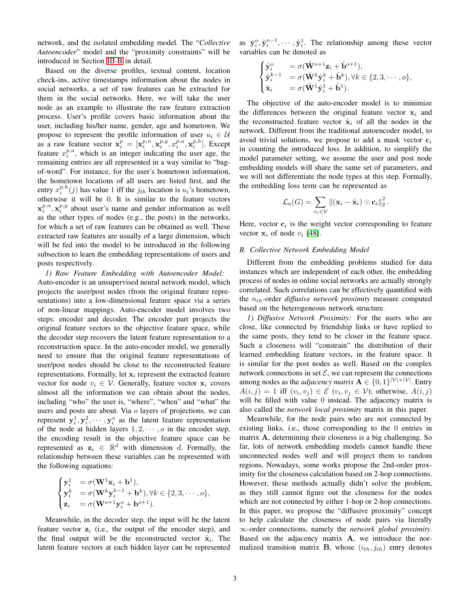network, and the isolated embedding model. The "*Collective Autoencoder*" model and the "proximity constraints" will be introduced in Section [III-B](#page-2-0) in detail.

Based on the diverse profiles, textual content, location check-ins, active timestamps information about the nodes in social networks, a set of raw features can be extracted for them in the social networks. Here, we will take the user node as an example to illustrate the raw feature extraction process. User's profile covers basic information about the user, including his/her name, gender, age and hometown. We propose to represent the profile information of user  $u_i \in U$ as a raw feature vector  $\mathbf{x}_i^p = [\mathbf{x}_i^{p,n}, \mathbf{x}_i^{p,q}, x_i^{p,n}, \mathbf{x}_i^{p,h}]$ . Except feature  $x_i^{p,a}$ , which is an integer indicating the user age, the remaining entries are all represented in a way similar to "bagof-word". For instance, for the user's hometown information, the hometown locations of all users are listed first, and the entry  $x_i^{p,h}(j)$  has value 1 iff the  $j_{th}$  location is  $u_i$ 's hometown, otherwise it will be 0. It is similar to the feature vectors  $\mathbf{x}_{i}^{p,n}, \mathbf{x}_{i}^{p,g}$  about user's name and gender information as well as the other types of nodes (e.g., the posts) in the networks, for which a set of raw features can be obtained as well. These extracted raw features are usually of a large dimension, which will be fed into the model to be introduced in the following subsection to learn the embedding representations of users and posts respectively.

<span id="page-2-1"></span>*1) Raw Feature Embedding with Autoencoder Model:* Auto-encoder is an unsupervised neural network model, which projects the user/post nodes (from the original feature representations) into a low-dimensional feature space via a series of non-linear mappings. Auto-encoder model involves two steps: encoder and decoder. The encoder part projects the original feature vectors to the objective feature space, while the decoder step recovers the latent feature representation to a reconstruction space. In the auto-encoder model, we generally need to ensure that the original feature representations of user/post nodes should be close to the reconstructed feature representations. Formally, let  $x_i$  represent the extracted feature vector for node  $v_i \in V$ . Generally, feature vector  $x_i$  covers almost all the information we can obtain about the nodes, including "who" the user is, "where", "when" and "what" the users and posts are about. Via o layers of projections, we can represent  $y_i^1, y_i^2, \cdots, y_i^o$  as the latent feature representation of the node at hidden layers  $1, 2, \dots, o$  in the encoder step, the encoding result in the objective feature space can be represented as  $z_i \in \mathbb{R}^d$  with dimension d. Formally, the relationship between these variables can be represented with the following equations:

$$
\begin{cases}\n\mathbf{y}_i^1 = \sigma(\mathbf{W}^1 \mathbf{x}_i + \mathbf{b}^1), \\
\mathbf{y}_i^k = \sigma(\mathbf{W}^k \mathbf{y}_i^{k-1} + \mathbf{b}^k), \forall k \in \{2, 3, \cdots, o\}, \\
\mathbf{z}_i = \sigma(\mathbf{W}^{o+1} \mathbf{y}_i^o + \mathbf{b}^{o+1}).\n\end{cases}
$$

Meanwhile, in the decoder step, the input will be the latent feature vector  $z_i$  (i.e., the output of the encoder step), and the final output will be the reconstructed vector  $\hat{\mathbf{x}}_i$ . The latent feature vectors at each hidden layer can be represented

as  $\hat{\mathbf{y}}_i^o, \hat{\mathbf{y}}_i^{o-1}, \cdots, \hat{\mathbf{y}}_i^1$ . The relationship among these vector variables can be denoted as

$$
\begin{cases}\n\hat{\mathbf{y}}_i^o = \sigma(\hat{\mathbf{W}}^{o+1}\mathbf{z}_i + \hat{\mathbf{b}}^{o+1}), \\
\hat{\mathbf{y}}_i^{k-1} = \sigma(\hat{\mathbf{W}}^k\hat{\mathbf{y}}_i^k + \hat{\mathbf{b}}^k), \forall k \in \{2, 3, \cdots, o\}, \\
\hat{\mathbf{x}}_i = \sigma(\hat{\mathbf{W}}^1\hat{\mathbf{y}}_i^1 + \hat{\mathbf{b}}^1).\n\end{cases}
$$

The objective of the auto-encoder model is to minimize the differences between the original feature vector  $x_i$  and the reconstructed feature vector  $\hat{\mathbf{x}}_i$  of all the nodes in the network. Different from the traditional autoencoder model, to avoid trivial solutions, we propose to add a mask vector  $c_i$ in counting the introduced loss. In addition, to simplify the model parameter setting, we assume the user and post node embedding models will share the same set of parameters, and we will not differentiate the node types at this step. Formally, the embedding loss term can be represented as

$$
\mathcal{L}_a(G) = \sum_{v_i \in \mathcal{V}} ||(\mathbf{x}_i - \hat{\mathbf{x}}_i) \odot \mathbf{c}_i||_2^2.
$$

Here, vector  $c_i$  is the weight vector corresponding to feature vector  $x_i$  of node  $v_i$  [\[48\]](#page-10-0).

#### <span id="page-2-0"></span>*B. Collective Network Embedding Model*

Different from the embedding problems studied for data instances which are independent of each other, the embedding process of nodes in online social networks are actually strongly correlated. Such correlations can be effectively quantified with the  $n_{th}$ -order *diffusive network proximity* measure computed based on the heterogeneous network structure.

*1) Diffusive Network Proximity:* For the users who are close, like connected by friendship links or have replied to the same posts, they tend to be closer in the feature space. Such a closeness will "constrain" the distribution of their learned embedding feature vectors, in the feature space. It is similar for the post nodes as well. Based on the complex network connections in set  $\mathcal{E}$ , we can represent the connections among nodes as the *adjacency matrix*  $\mathbf{A} \in \{0, 1\}^{|\mathcal{V}| \times |\mathcal{V}|}$ . Entry  $A(i, j) = 1$  iff  $(v_i, v_j) \in \mathcal{E}$   $(v_i, v_j \in \mathcal{V})$ ; otherwise,  $A(i, j)$ will be filled with value 0 instead. The adjacency matrix is also called the *network local proximity* matrix in this paper.

Meanwhile, for the node pairs who are not connected by existing links, i.e., those corresponding to the 0 entries in matrix A, determining their closeness is a big challenging. So far, lots of network embedding models cannot handle these unconnected nodes well and will project them to random regions. Nowadays, some works propose the 2nd-order proximity for the closeness calculation based on 2-hop connections. However, these methods actually didn't solve the problem, as they still cannot figure out the closeness for the nodes which are not connected by either 1-hop or 2-hop connections. In this paper, we propose the "diffusive proximity" concept to help calculate the closeness of node pairs via literally ∞-order connections, namely the *network global proximity*. Based on the adjacency matrix A, we introduce the normalized transition matrix **B**, whose  $(i_{th}, j_{th})$  entry denotes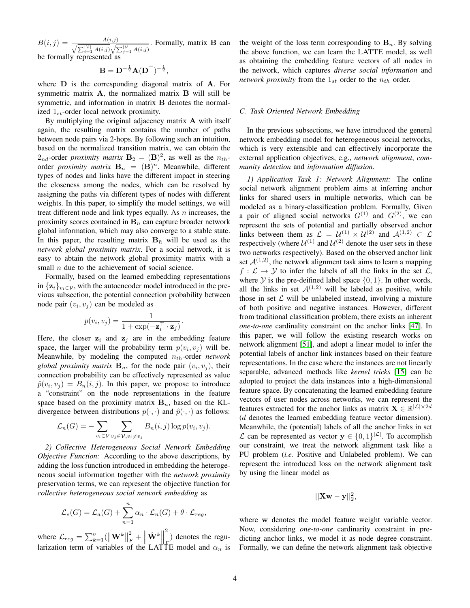$B(i, j) = \frac{A(i, j)}{\sqrt{\sum |V| A(i, j)}}$  $\sum_{i=1}^{|\mathcal{V}|} A(i,j) \sqrt{\sum_{j=1}^{|\mathcal{V}|} A(i,j)}$  $\frac{1}{\sqrt{1-\frac{1}{2}}}\$ . Formally, matrix **B** can be formally represented as

$$
\mathbf{B} = \mathbf{D}^{-\frac{1}{2}} \mathbf{A} (\mathbf{D}^\top)^{-\frac{1}{2}},
$$

where **D** is the corresponding diagonal matrix of **A**. For symmetric matrix A, the normalized matrix B will still be symmetric, and information in matrix B denotes the normalized  $1_{st}$ -order local network proximity.

By multiplying the original adjacency matrix A with itself again, the resulting matrix contains the number of paths between node pairs via 2-hops. By following such an intuition, based on the normalized transition matrix, we can obtain the  $2_{nd}$ -order *proximity matrix*  $B_2 = (B)^2$ , as well as the  $n_{th}$ order *proximity matrix*  $\mathbf{B}_n = (\mathbf{B})^n$ . Meanwhile, different types of nodes and links have the different impact in steering the closeness among the nodes, which can be resolved by assigning the paths via different types of nodes with different weights. In this paper, to simplify the model settings, we will treat different node and link types equally. As  $n$  increases, the proximity scores contained in  $B_n$  can capture broader network global information, which may also converge to a stable state. In this paper, the resulting matrix  $B_{\overline{n}}$  will be used as the *network global proximity matrix*. For a social network, it is easy to abtain the network global proximity matrix with a small  $n$  due to the achievement of social science.

Formally, based on the learned embedding representations in  $\{z_i\}_{i \in \mathcal{V}}$ , with the autoencoder model introduced in the previous subsection, the potential connection probability between node pair  $(v_i, v_j)$  can be modeled as

$$
p(v_i, v_j) = \frac{1}{1 + \exp(-\mathbf{z}_i^{\top} \cdot \mathbf{z}_j)}
$$

.

Here, the closer  $z_i$  and  $z_j$  are in the embedding feature space, the larger will the probability term  $p(v_i, v_j)$  will be. Meanwhile, by modeling the computed  $n_{th}$ -order  $network$ global proximity matrix  $\mathbf{B}_n$ , for the node pair  $(v_i, v_j)$ , their connection probability can be effectively represented as value  $\hat{p}(v_i, v_j) = B_n(i, j)$ . In this paper, we propose to introduce a "constraint" on the node representations in the feature space based on the proximity matrix  $B_n$ , based on the KLdivergence between distributions  $p(\cdot, \cdot)$  and  $\hat{p}(\cdot, \cdot)$  as follows:

$$
\mathcal{L}_n(G) = -\sum_{v_i \in \mathcal{V}} \sum_{v_j \in \mathcal{V}, v_i \neq v_j} B_n(i,j) \log p(v_i, v_j).
$$

*2) Collective Heterogeneous Social Network Embedding Objective Function:* According to the above descriptions, by adding the loss function introduced in embedding the heterogeneous social information together with the *network proximity* preservation terms, we can represent the objective function for *collective heterogeneous social network embedding* as

$$
\mathcal{L}_e(G) = \mathcal{L}_a(G) + \sum_{n=1}^{\bar{n}} \alpha_n \cdot \mathcal{L}_n(G) + \theta \cdot \mathcal{L}_{reg},
$$

where  $\mathcal{L}_{reg} = \sum_{k=1}^{o} (||\mathbf{W}^k||)$ 2  $\frac{2}{F} + \left\| \hat{\mathbf{W}}^{k} \right\|$ 2  $\binom{F}{F}$  denotes the regularization term of variables of the LATTE model and  $\alpha_n$  is the weight of the loss term corresponding to  $\mathbf{B}_n$ . By solving the above function, we can learn the LATTE model, as well as obtaining the embedding feature vectors of all nodes in the network, which captures *diverse social information* and *network proximity* from the  $1_{st}$  order to the  $n_{th}$  order.

#### *C. Task Oriented Network Embedding*

In the previous subsections, we have introduced the general network embedding model for heterogeneous social networks, which is very extensible and can effectively incorporate the external application objectives, e.g., *network alignment*, *community detection* and *information diffusion*.

*1) Application Task 1: Network Alignment:* The online social network alignment problem aims at inferring anchor links for shared users in multiple networks, which can be modeled as a binary-classification problem. Formally, Given a pair of aligned social networks  $G^{(1)}$  and  $G^{(2)}$ , we can represent the sets of potential and partially observed anchor links between them as  $\mathcal{L} = \mathcal{U}^{(1)} \times \mathcal{U}^{(2)}$  and  $\mathcal{A}^{(1,2)} \subset \mathcal{L}$ respectively (where  $\mathcal{U}^{(1)}$  and  $\mathcal{U}^{(2)}$  denote the user sets in these two networks respectively). Based on the observed anchor link set  $\mathcal{A}^{(1,2)}$ , the network alignment task aims to learn a mapping  $f: \mathcal{L} \to \mathcal{Y}$  to infer the labels of all the links in the set  $\mathcal{L}$ , where  $Y$  is the pre-deifined label space  $\{0, 1\}$ . In other words, all the links in set  $A^{(1,2)}$  will be labeled as positive, while those in set  $\mathcal L$  will be unlabeled instead, involving a mixture of both positive and negative instances. However, different from traditional classification problem, there exists an inherent *one-to-one* cardinality constraint on the anchor links [\[47\]](#page-10-1). In this paper, we will follow the existing research works on network alignment [\[51\]](#page-10-2), and adopt a linear model to infer the potential labels of anchor link instances based on their feature representations. In the case where the instances are not linearly separable, advanced methods like *kernel tricks* [\[15\]](#page-9-11) can be adopted to project the data instances into a high-dimensional feature space. By concatenating the learned embedding feature vectors of user nodes across networks, we can represent the features extracted for the anchor links as matrix  $\mathbf{X} \in \mathbb{R}^{|\mathcal{L}| \times 2d}$ (d denotes the learned embedding feature vector dimension). Meanwhile, the (potential) labels of all the anchor links in set  $L$  can be represented as vector y ∈ {0, 1}<sup>|L|</sup>. To accomplish our constraint, we treat the network alignment task like a PU problem (*i.e.* Positive and Unlabeled problem). We can represent the introduced loss on the network alignment task by using the linear model as

$$
||\mathbf{X}\mathbf{w}-\mathbf{y}||_2^2,
$$

where w denotes the model feature weight variable vector. Now, considering *one-to-one* cardinarity constraint in predicting anchor links, we model it as node degree constraint. Formally, we can define the network alignment task objective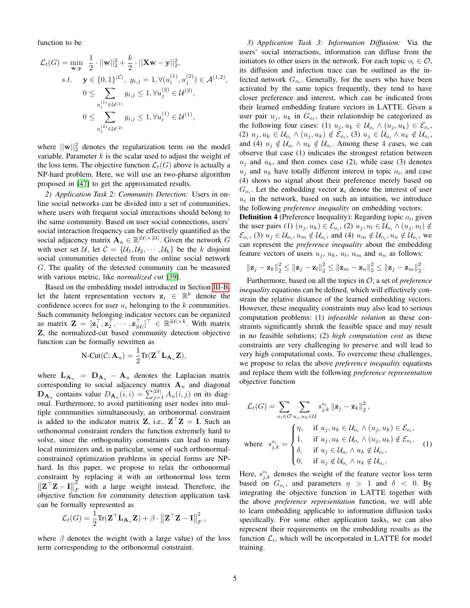function to be

$$
\mathcal{L}_{t}(G) = \min_{\mathbf{w}, \mathbf{y}} \frac{1}{2} \cdot ||\mathbf{w}||_{2}^{2} + \frac{k}{2} \cdot ||\mathbf{X}\mathbf{w} - \mathbf{y}||_{2}^{2},
$$
\ns.t. 
$$
\mathbf{y} \in \{0, 1\}^{|\mathcal{L}|}, y_{i,j} = 1, \forall (u_{i}^{(1)}, u_{j}^{(2)}) \in \mathcal{A}^{(1,2)},
$$
\n
$$
0 \le \sum_{u_{i}^{(1)} \in \mathcal{U}^{(1)}} y_{i,j} \le 1, \forall u_{j}^{(2)} \in \mathcal{U}^{(2)},
$$
\n
$$
0 \le \sum_{u_{j}^{(2)} \in \mathcal{U}^{(2)}} y_{i,j} \le 1, \forall u_{i}^{(1)} \in \mathcal{U}^{(1)},
$$

where  $||\mathbf{w}||_2^2$  denotes the regularization term on the model variable. Parameter  $k$  is the scalar used to adjust the weight of the loss term. The objective function  $\mathcal{L}_t(G)$  above is actually a NP-hard problem. Here, we will use an two-pharse algorithm proposed in [\[47\]](#page-10-1) to get the approximated results.

*2) Application Task 2: Community Detection:* Users in online social networks can be divided into a set of communities, where users with frequent social interactions should belong to the same community. Based on user social connections, users' social interaction frequency can be effectively quantified as the social adjacency matrix  $\mathbf{A}_u \in \mathbb{R}^{|\mathcal{U}| \times |\mathcal{U}|}$ . Given the network G with user set U, let  $C = \{U_1, U_2, \dots, U_k\}$  be the k disjoint social communities detected from the online social network G. The quality of the detected community can be measured with various metric, like *normalized cut* [\[39\]](#page-9-12).

Based on the embedding model introduced in Section [III-B,](#page-2-0) let the latent representation vectors  $z_i \in \mathbb{R}^k$  denote the confidence scores for user  $u_i$  belonging to the k communities. Such community belonging indicator vectors can be organized as matrix  $\mathbf{Z} = [\mathbf{z}_1^\top, \mathbf{z}_2^\top, \cdots, \mathbf{z}_{|\mathcal{U}|}^\top]^\top \in \mathbb{R}^{|\mathcal{U}| \times k}$ . With matrix Z, the normalized-cut based community detection objective function can be formally rewritten as

$$
\text{N-Cut}(\mathcal{C}; \mathbf{A}_u) = \frac{1}{2} \text{Tr}(\mathbf{Z}^\top \mathbf{L}_{\mathbf{A}_u} \mathbf{Z}),
$$

where  $\mathbf{L}_{\mathbf{A}_u} = \mathbf{D}_{\mathbf{A}_u} - \mathbf{A}_u$  denotes the Laplacian matrix corresponding to social adjacency matrix  $A_u$  and diagonal  $\mathbf{D}_{\mathbf{A}_u}$  contains value  $D_{\mathbf{A}_u}(i, i) = \sum_{j=1}^{|U|} A_u(i, j)$  on its diagonal. Furthermore, to avoid partitioning user nodes into multiple communities simultaneously, an orthonormal constraint is added to the indicator matrix **Z**, i.e.,  $\mathbf{Z}^{\top} \mathbf{Z} = \mathbf{I}$ . Such an orthonormal constraint renders the function extremely hard to solve, since the orthogonality constraints can lead to many local minimizers and, in particular, some of such orthonormalconstrained optimization problems in special forms are NPhard. In this paper, we propose to relax the orthonormal constraint by replacing it with an orthonormal loss term  $\left\| \mathbf{Z}^\top \mathbf{Z} - \mathbf{I} \right\|$  $\tilde{2}$  $\int_F$  with a large weight instead. Therefore, the objective function for community detection application task can be formally represented as

$$
\mathcal{L}_t(G) = \frac{1}{2} \text{Tr}(\mathbf{Z}^\top \mathbf{L}_{\mathbf{A}_u} \mathbf{Z}) + \beta \cdot \left\| \mathbf{Z}^\top \mathbf{Z} - \mathbf{I} \right\|_F^2
$$

where  $\beta$  denotes the weight (with a large value) of the loss term corresponding to the orthonormal constraint.

*3) Application Task 3: Information Diffusion:* Via the users' social interactions, information can diffuse from the initiators to other users in the network. For each topic  $o_i \in \mathcal{O}$ , its diffusion and infection trace can be outlined as the infected network  $G_{o_i}$ . Generally, for the users who have been activated by the same topics frequently, they tend to have closer preference and interest, which can be indicated from their learned embedding feature vectors in LATTE. Given a user pair  $u_j$ ,  $u_k$  in  $G_{o_i}$ , their relationship be categorized as the following four cases: (1)  $u_j, u_k \in \mathcal{U}_{o_i} \wedge (u_j, u_k) \in \mathcal{E}_{o_i}$ , (2)  $u_j, u_k \in \mathcal{U}_{o_i} \wedge (u_j, u_k) \notin \mathcal{E}_{o_i}$ , (3)  $u_j \in \mathcal{U}_{o_i} \wedge u_k \notin \mathcal{U}_{o_i}$ , and (4)  $u_j \notin \mathcal{U}_{o_i} \wedge u_k \notin \mathcal{U}_{o_i}$ . Among these 4 cases, we can observe that case (1) indicates the strongest relation between  $u_j$  and  $u_k$ , and then comes case (2), while case (3) denotes  $u_j$  and  $u_k$  have totally different interest in topic  $o_i$ , and case (4) shows no signal about their preference merely based on  $G_{o_i}$ . Let the embedding vector  $z_i$  denote the interest of user  $u_i$  in the network, based on such an intuition, we introduce the following *preference inequality* on embedding vectors:

**Definition 4** (Preference Inequality): Regarding topic  $o_i$ , given the user pairs (1)  $(u_j, u_k) \in \mathcal{E}_{o_i}$ , (2)  $u_j, u_l \in \mathcal{U}_{o_i} \wedge (u_j, u_l) \notin$  $\mathcal{E}_{o_i}$ , (3)  $u_j \in \mathcal{U}_{o_i}$ ,  $u_m \notin \mathcal{U}_{o_i}$ , and (4)  $u_m \notin \mathcal{U}_{o_i}$ ,  $u_n \notin \mathcal{U}_{o_i}$ , we can represent the *preference inequality* about the embedding feature vectors of users  $u_j$ ,  $u_k$ ,  $u_l$ ,  $u_m$  and  $u_n$  as follows:

$$
\|\mathbf{z}_j-\mathbf{z}_k\|_2^2 \leq \|\mathbf{z}_j-\mathbf{z}_l\|_2^2 \leq \|\mathbf{z}_m-\mathbf{z}_n\|_2^2 \leq \|\mathbf{z}_j-\mathbf{z}_m\|_2^2.
$$

Furthermore, based on all the topics in O, a set of *preference inequality* equations can be defined, which will effectively constrain the relative distance of the learned embedding vectors. However, these inequality constraints may also lead to serious computation problems: (1) *infeasible solution* as these constraints significantly shrink the feasible space and may result in no feasible solutions; (2) *high computation cost* as these constraints are very challenging to preserve and will lead to very high computational costs. To overcome these challenges, we propose to relax the above *preference inequality* equations and replace them with the following *preference representation* objective function

$$
\mathcal{L}_{t}(G) = \sum_{o_{i} \in \mathcal{O}} \sum_{u_{j}, u_{k} \in \mathcal{U}} s_{j,k}^{o_{i}} \| \mathbf{z}_{j} - \mathbf{z}_{k} \|_{2}^{2},
$$
\n
$$
\text{where } s_{j,k}^{o_{i}} = \begin{cases} \eta, & \text{if } u_{j}, u_{k} \in \mathcal{U}_{o_{i}} \land (u_{j}, u_{k}) \in \mathcal{E}_{o_{i}},\\ 1, & \text{if } u_{j}, u_{k} \in \mathcal{U}_{o_{i}} \land (u_{j}, u_{k}) \notin \mathcal{E}_{o_{i}},\\ \delta, & \text{if } u_{j} \in \mathcal{U}_{o_{i}} \land u_{k} \notin \mathcal{U}_{o_{i}},\\ 0, & \text{if } u_{j} \notin \mathcal{U}_{o_{i}} \land u_{k} \notin \mathcal{U}_{o_{i}}, \end{cases} \tag{1}
$$

Here,  $s_{j,k}^{o_i}$  denotes the weight of the feature vector loss term based on  $G_{o_i}$ , and parameters  $\eta > 1$  and  $\delta < 0$ . By integrating the objective function in LATTE together with the above *preference representation* function, we will able to learn embedding applicable to information diffusion tasks specifically. For some other application tasks, we can also represent their requirements on the embedding results as the function  $\mathcal{L}_t$ , which will be incorporated in LATTE for model training.

,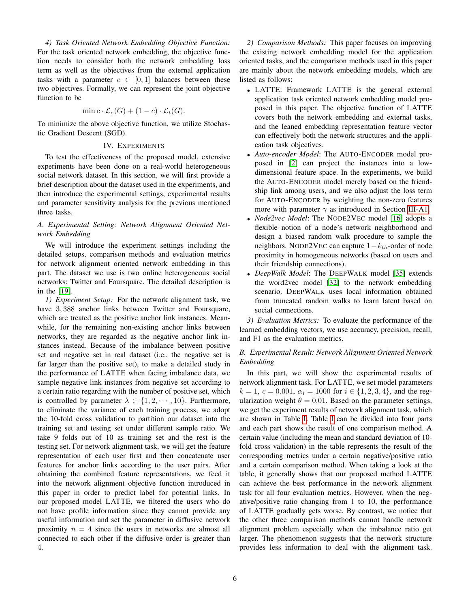*4) Task Oriented Network Embedding Objective Function:* For the task oriented network embedding, the objective function needs to consider both the network embedding loss term as well as the objectives from the external application tasks with a parameter  $c \in [0,1]$  balances between these two objectives. Formally, we can represent the joint objective function to be

$$
\min c \cdot \mathcal{L}_e(G) + (1 - c) \cdot \mathcal{L}_t(G).
$$

To minimize the above objective function, we utilize Stochastic Gradient Descent (SGD).

#### IV. EXPERIMENTS

To test the effectiveness of the proposed model, extensive experiments have been done on a real-world heterogeneous social network dataset. In this section, we will first provide a brief description about the dataset used in the experiments, and then introduce the experimental settings, experimental results and parameter sensitivity analysis for the previous mentioned three tasks.

# *A. Experimental Setting: Network Alignment Oriented Network Embedding*

We will introduce the experiment settings including the detailed setups, comparison methods and evaluation metrics for network alignment oriented network embedding in this part. The dataset we use is two online heterogeneous social networks: Twitter and Foursquare. The detailed description is in the [\[19\]](#page-9-5).

*1) Experiment Setup:* For the network alignment task, we have  $3,388$  anchor links between Twitter and Foursquare, which are treated as the positive anchor link instances. Meanwhile, for the remaining non-existing anchor links between networks, they are regarded as the negative anchor link instances instead. Because of the imbalance between positive set and negative set in real dataset (i.e., the negative set is far larger than the positive set), to make a detailed study in the performance of LATTE when facing imbalance data, we sample negative link instances from negative set according to a certain ratio regarding with the number of positive set, which is controlled by parameter  $\lambda \in \{1, 2, \dots, 10\}$ . Furthermore, to eliminate the variance of each training process, we adopt the 10-fold cross validation to partition our dataset into the training set and testing set under different sample ratio. We take 9 folds out of 10 as training set and the rest is the testing set. For network alignment task, we will get the feature representation of each user first and then concatenate user features for anchor links according to the user pairs. After obtaining the combined feature representations, we feed it into the network alignment objective function introduced in this paper in order to predict label for potential links. In our proposed model LATTE, we filtered the users who do not have profile information since they cannot provide any useful information and set the parameter in diffusive network proximity  $\bar{n} = 4$  since the users in networks are almost all connected to each other if the diffusive order is greater than 4.

<span id="page-5-0"></span>*2) Comparison Methods:* This paper focuses on improving the existing network embedding model for the application oriented tasks, and the comparison methods used in this paper are mainly about the network embedding models, which are listed as follows:

- LATTE: Framework LATTE is the general external application task oriented network embedding model proposed in this paper. The objective function of LATTE covers both the network embedding and external tasks, and the leaned embedding representation feature vector can effectively both the network structures and the application task objectives.
- *Auto-encoder Model*: The AUTO-ENCODER model proposed in [\[2\]](#page-9-13) can project the instances into a lowdimensional feature space. In the experiments, we build the AUTO-ENCODER model merely based on the friendship link among users, and we also adjust the loss term for AUTO-ENCODER by weighting the non-zero features more with parameter  $\gamma$  as introduced in Section [III-A1.](#page-2-1)
- *Node2vec Model*: The NODE2VEC model [\[16\]](#page-9-4) adopts a flexible notion of a node's network neighborhood and design a biased random walk procedure to sample the neighbors. NODE2VEC can capture  $1-k<sub>th</sub>$ -order of node proximity in homogeneous networks (based on users and their friendship connections).
- *DeepWalk Model*: The DEEPWALK model [\[35\]](#page-9-2) extends the word2vec model [\[32\]](#page-9-14) to the network embedding scenario. DEEPWALK uses local information obtained from truncated random walks to learn latent based on social connections.

*3) Evaluation Metrics:* To evaluate the performance of the learned embedding vectors, we use accuracy, precision, recall, and F1 as the evaluation metrics.

# *B. Experimental Result: Network Alignment Oriented Network Embedding*

In this part, we will show the experimental results of network alignment task. For LATTE, we set model parameters  $k = 1, c = 0.001, \alpha_i = 1000$  for  $i \in \{1, 2, 3, 4\}$ , and the regularization weight  $\theta = 0.01$ . Based on the parameter settings, we get the experiment results of network alignment task, which are shown in Table [I.](#page-6-0) Table [I](#page-6-0) can be divided into four parts and each part shows the result of one comparison method. A certain value (including the mean and standard deviation of 10 fold cross validation) in the table represents the result of the corresponding metrics under a certain negative/positive ratio and a certain comparison method. When taking a look at the table, it generally shows that our proposed method LATTE can achieve the best performance in the network alignment task for all four evaluation metrics. However, when the negative/positive ratio changing from 1 to 10, the performance of LATTE gradually gets worse. By contrast, we notice that the other three comparison methods cannot handle network alignment problem especially when the imbalance ratio get larger. The phenomenon suggests that the network structure provides less information to deal with the alignment task.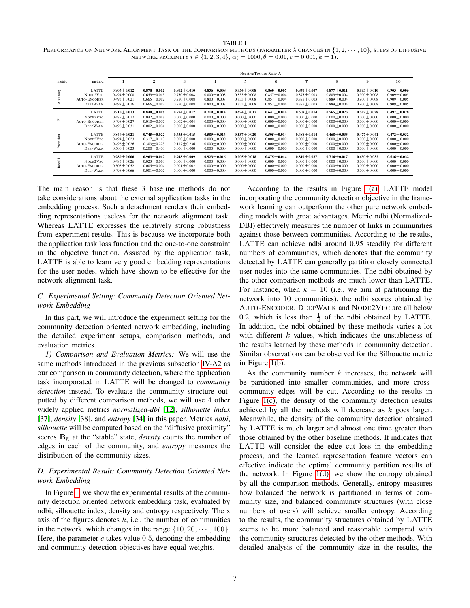<span id="page-6-0"></span>TABLE I PERFORMANCE ON NETWORK ALIGNMENT TASK OF THE COMPARISON METHODS (PARAMETER  $\lambda$  CHANGES IN  $\{1, 2, \cdots, 10\}$ , STEPS OF DIFFUSIVE NETWORK PROXIMITY  $i \in \{1, 2, 3, 4\}, \alpha_i = 1000, \theta = 0.01, c = 0.001, k = 1)$ .

|                                 |                                                             | Negative/Positive Ratio $\lambda$                                        |                                                                          |                                                                          |                                                                          |                                                                            |                                                                            |                                                                            |                                                                          |                                                                          |                                                                          |
|---------------------------------|-------------------------------------------------------------|--------------------------------------------------------------------------|--------------------------------------------------------------------------|--------------------------------------------------------------------------|--------------------------------------------------------------------------|----------------------------------------------------------------------------|----------------------------------------------------------------------------|----------------------------------------------------------------------------|--------------------------------------------------------------------------|--------------------------------------------------------------------------|--------------------------------------------------------------------------|
| metric                          | method                                                      |                                                                          | $\overline{2}$                                                           | 3                                                                        | 4                                                                        | 5                                                                          | 6                                                                          | $\overline{7}$                                                             | 8                                                                        | 9                                                                        | 10                                                                       |
| ⋋                               | LATTE<br>NODE2VEC<br><b>AUTO-ENCODER</b><br><b>DEEPWALK</b> | $0.903 + 0.012$<br>$0.494 + 0.008$<br>$0.495 + 0.021$<br>$0.498 + 0.016$ | $0.878 + 0.012$<br>$0.659 + 0.015$<br>$0.665 + 0.012$<br>$0.666 + 0.012$ | $0.862 + 0.010$<br>$0.750 + 0.008$<br>$0.750 + 0.008$<br>$0.750 + 0.008$ | $0.856 + 0.008$<br>$0.800 + 0.008$<br>$0.800 + 0.008$<br>$0.800 + 0.008$ | $0.854 + 0.008$<br>$0.833 + 0.008$<br>$0.833 + 0.008$<br>$0.833 + 0.008$   | $0.860 + 0.007$<br>$0.857 + 0.004$<br>$0.857 + 0.004$<br>$0.857 + 0.004$   | $0.870 + 0.007$<br>$0.875 + 0.003$<br>$0.875 + 0.003$<br>$0.875 \pm 0.003$ | $0.877 + 0.011$<br>$0.889 + 0.004$<br>$0.889 + 0.004$<br>$0.889 + 0.004$ | $0.893 + 0.010$<br>$0.900 + 0.008$<br>$0.900 + 0.008$<br>$0.900 + 0.008$ | $0.903 + 0.006$<br>$0.909 + 0.005$<br>$0.909 + 0.005$<br>$0.909 + 0.005$ |
| E.                              | LATTE<br>NODE2VEC<br><b>AUTO-ENCODER</b><br><b>DEEPWALK</b> | $0.910 + 0.013$<br>$0.489 + 0.017$<br>$0.498 + 0.027$<br>$0.496 + 0.031$ | $0.840 + 0.018$<br>$0.042 + 0.018$<br>$0.010 + 0.007$<br>$0.002 + 0.004$ | $0.774 + 0.012$<br>$0.000 + 0.000$<br>$0.002 + 0.004$<br>$0.000 + 0.000$ | $0.719 + 0.014$<br>$0.000 + 0.000$<br>$0.000 + 0.000$<br>$0.000 + 0.000$ | $0.674 \pm 0.017$<br>$0.000 + 0.000$<br>$0.000 + 0.000$<br>$0.000 + 0.000$ | $0.641 \pm 0.014$<br>$0.000 + 0.000$<br>$0.000 + 0.000$<br>$0.000 + 0.000$ | $0.609 + 0.014$<br>$0.000 + 0.000$<br>$0.000 + 0.000$<br>$0.000 + 0.000$   | $0.565 + 0.023$<br>$0.000 + 0.000$<br>$0.000 + 0.000$<br>$0.000 + 0.000$ | $0.542 + 0.028$<br>$0.000 + 0.000$<br>$0.000 + 0.000$<br>$0.000 + 0.000$ | $0.497 + 0.028$<br>$0.000 + 0.000$<br>$0.000 + 0.000$<br>$0.000 + 0.000$ |
|                                 | LATTE<br>NODE2VEC<br><b>AUTO-ENCODER</b><br><b>DEEPWALK</b> | $0.849 + 0.021$<br>$0.494 + 0.023$<br>$0.496 + 0.026$<br>$0.500 + 0.023$ | $0.745 + 0.022$<br>$0.317 + 0.113$<br>$0.303 + 0.223$<br>$0.200 + 0.400$ | $0.655 + 0.015$<br>$0.000 + 0.000$<br>$0.117 + 0.236$<br>$0.000 + 0.000$ | $0.589 + 0.016$<br>$0.000 + 0.000$<br>$0.000 + 0.000$<br>$0.000 + 0.000$ | $0.537 + 0.020$<br>$0.000 + 0.000$<br>$0.000 + 0.000$<br>$0.000 + 0.000$   | $0.505 + 0.014$<br>$0.000 + 0.000$<br>$0.000 + 0.000$<br>$0.000 \pm 0.000$ | $0.488 + 0.014$<br>$0.000 + 0.000$<br>$0.000 + 0.000$<br>$0.000 + 0.000$   | $0.468 + 0.033$<br>$0.000 + 0.000$<br>$0.000 + 0.000$<br>$0.000 + 0.000$ | $0.477 + 0.041$<br>$0.000 + 0.000$<br>$0.000 + 0.000$<br>$0.000 + 0.000$ | $0.472 + 0.032$<br>$0.000 + 0.000$<br>$0.000 + 0.000$<br>$0.000 + 0.000$ |
| $\overline{\overline{a}}$<br>Lĕ | LATTE<br>NODE2VEC<br><b>AUTO-ENCODER</b><br><b>DEEPWALK</b> | $0.980 + 0.006$<br>$0.485 + 0.026$<br>$0.503 + 0.052$<br>$0.498 + 0.066$ | $0.963 + 0.012$<br>$0.023 + 0.010$<br>$0.005 + 0.004$<br>$0.001 + 0.002$ | $0.948 + 0.009$<br>$0.000 + 0.000$<br>$0.001 + 0.002$<br>$0.000 + 0.000$ | $0.923 + 0.016$<br>$0.000 + 0.000$<br>$0.000 + 0.000$<br>$0.000 + 0.000$ | $0.905 + 0.018$<br>$0.000 + 0.000$<br>$0.000 + 0.000$<br>$0.000 + 0.000$   | $0.875 + 0.014$<br>$0.000 + 0.000$<br>$0.000 + 0.000$<br>$0.000 + 0.000$   | $0.810 + 0.037$<br>$0.000 + 0.000$<br>$0.000 + 0.000$<br>$0.000 + 0.000$   | $0.716 + 0.017$<br>$0.000 + 0.000$<br>$0.000 + 0.000$<br>$0.000 + 0.000$ | $0.630 + 0.032$<br>$0.000 + 0.000$<br>$0.000 + 0.000$<br>$0.000 + 0.000$ | $0.526 + 0.032$<br>$0.000 + 0.000$<br>$0.000 + 0.000$<br>$0.000 + 0.000$ |

The main reason is that these 3 baseline methods do not take considerations about the external application tasks in the embedding process. Such a detachment renders their embedding representations useless for the network alignment task. Whereas LATTE expresses the relatively strong robustness from experiment results. This is because we incorporate both the application task loss function and the one-to-one constraint in the objective function. Assisted by the application task, LATTE is able to learn very good embedding representations for the user nodes, which have shown to be effective for the network alignment task.

# *C. Experimental Setting: Community Detection Oriented Network Embedding*

In this part, we will introduce the experiment setting for the community detection oriented network embedding, including the detailed experiment setups, comparison methods, and evaluation metrics.

*1) Comparison and Evaluation Metrics:* We will use the same methods introduced in the previous subsection [IV-A2](#page-5-0) as our comparison in community detection, where the application task incorporated in LATTE will be changed to *community detection* instead. To evaluate the community structure outputted by different comparison methods, we will use 4 other widely applied metrics *normalized-dbi* [\[12\]](#page-9-15), *silhouette index* [\[37\]](#page-9-16), *density* [\[38\]](#page-9-17), and *entropy* [\[34\]](#page-9-18) in this paper. Metrics *ndbi*, *silhouette* will be computed based on the "diffusive proximity" scores  $B_{\bar{n}}$  at the "stable" state, *density* counts the number of edges in each of the community, and *entropy* measures the distribution of the community sizes.

## *D. Experimental Result: Community Detection Oriented Network Embedding*

In Figure [1,](#page-7-0) we show the experimental results of the community detection oriented network embedding task, evaluated by ndbi, silhouette index, density and entropy respectively. The x axis of the figures denotes  $k$ , i.e., the number of communities in the network, which changes in the range  $\{10, 20, \dots, 100\}$ . Here, the parameter  $c$  takes value 0.5, denoting the embedding and community detection objectives have equal weights.

According to the results in Figure [1\(a\),](#page-7-1) LATTE model incorporating the community detection objective in the framework learning can outperform the other pure network embedding models with great advantages. Metric ndbi (Normalized-DBI) effectively measures the number of links in communities against those between communities. According to the results, LATTE can achieve ndbi around 0.95 steadily for different numbers of communities, which denotes that the community detected by LATTE can generally partition closely connected user nodes into the same communities. The ndbi obtained by the other comparison methods are much lower than LATTE. For instance, when  $k = 10$  (i.e., we aim at partitioning the network into 10 communities), the ndbi scores obtained by AUTO-ENCODER, DEEPWALK and NODE2VEC are all below 0.2, which is less than  $\frac{1}{4}$  of the ndbi obtained by LATTE. In addition, the ndbi obtained by these methods varies a lot with different  $k$  values, which indicates the unstableness of the results learned by these methods in community detection. Similar observations can be observed for the Silhouette metric in Figure [1\(b\).](#page-7-2)

As the community number  $k$  increases, the network will be partitioned into smaller communities, and more crosscommunity edges will be cut. According to the results in Figure [1\(c\),](#page-7-3) the density of the community detection results achieved by all the methods will decrease as  $k$  goes larger. Meanwhile, the density of the community detection obtained by LATTE is much larger and almost one time greater than those obtained by the other baseline methods. It indicates that LATTE will consider the edge cut loss in the embedding process, and the learned representation feature vectors can effective indicate the optimal community partition results of the network. In Figure  $1(d)$ , we show the entropy obtained by all the comparison methods. Generally, entropy measures how balanced the network is partitioned in terms of community size, and balanced community structures (with close numbers of users) will achieve smaller entropy. According to the results, the community structures obtained by LATTE seems to be more balanced and reasonable compared with the community structures detected by the other methods. With detailed analysis of the community size in the results, the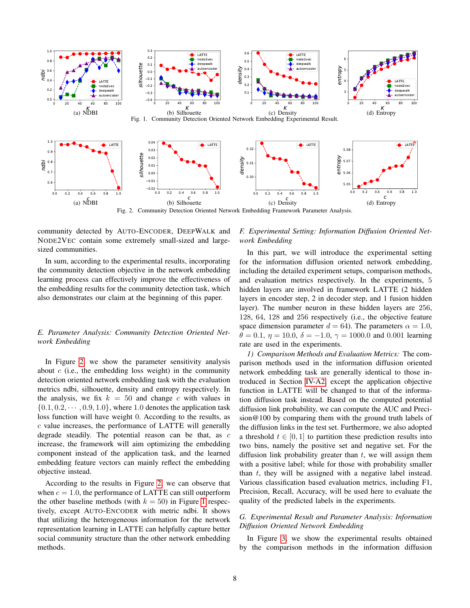<span id="page-7-2"></span><span id="page-7-1"></span>

Fig. 2. Community Detection Oriented Network Embedding Framework Parameter Analysis.

community detected by AUTO-ENCODER, DEEPWALK and NODE2VEC contain some extremely small-sized and largesized communities.

In sum, according to the experimental results, incorporating the community detection objective in the network embedding learning process can effectively improve the effectiveness of the embedding results for the community detection task, which also demonstrates our claim at the beginning of this paper.

# *E. Parameter Analysis: Community Detection Oriented Network Embedding*

In Figure [2,](#page-7-5) we show the parameter sensitivity analysis about  $c$  (i.e., the embedding loss weight) in the community detection oriented network embedding task with the evaluation metrics ndbi, silhouette, density and entropy respectively. In the analysis, we fix  $k = 50$  and change c with values in  $\{0.1, 0.2, \cdots, 0.9, 1.0\}$ , where 1.0 denotes the application task loss function will have weight 0. According to the results, as  $c$  value increases, the performance of LATTE will generally degrade steadily. The potential reason can be that, as  $c$ increase, the framework will aim optimizing the embedding component instead of the application task, and the learned embedding feature vectors can mainly reflect the embedding objective instead.

According to the results in Figure [2,](#page-7-5) we can observe that when  $c = 1.0$ , the performance of LATTE can still outperform the other baseline methods (with  $k = 50$ ) in Figure [1](#page-7-0) respectively, except AUTO-ENCODER with metric ndbi. It shows that utilizing the heterogeneous information for the network representation learning in LATTE can helpfully capture better social community structure than the other network embedding methods.

## <span id="page-7-5"></span><span id="page-7-4"></span><span id="page-7-3"></span><span id="page-7-0"></span>*F. Experimental Setting: Information Diffusion Oriented Network Embedding*

In this part, we will introduce the experimental setting for the information diffusion oriented network embedding, including the detailed experiment setups, comparison methods, and evaluation metrics respectively. In the experiments, 5 hidden layers are involved in framework LATTE (2 hidden layers in encoder step, 2 in decoder step, and 1 fusion hidden layer). The number neuron in these hidden layers are 256, 128, 64, 128 and 256 respectively (i.e., the objective feature space dimension parameter  $d = 64$ ). The parameters  $\alpha = 1.0$ ,  $\theta = 0.1$ ,  $\eta = 10.0$ ,  $\delta = -1.0$ ,  $\gamma = 1000.0$  and 0.001 learning rate are used in the experiments.

*1) Comparison Methods and Evaluation Metrics:* The comparison methods used in the information diffusion oriented network embedding task are generally identical to those introduced in Section [IV-A2,](#page-5-0) except the application objective function in LATTE will be changed to that of the information diffusion task instead. Based on the computed potential diffusion link probability, we can compute the AUC and Precision@100 by comparing them with the ground truth labels of the diffusion links in the test set. Furthermore, we also adopted a threshold  $t \in [0, 1]$  to partition these prediction results into two bins, namely the positive set and negative set. For the diffusion link probability greater than  $t$ , we will assign them with a positive label; while for those with probability smaller than  $t$ , they will be assigned with a negative label instead. Various classification based evaluation metrics, including F1, Precision, Recall, Accuracy, will be used here to evaluate the quality of the predicted labels in the experiments.

# *G. Experimental Result and Parameter Analysis: Information Diffusion Oriented Network Embedding*

In Figure [3,](#page-8-0) we show the experimental results obtained by the comparison methods in the information diffusion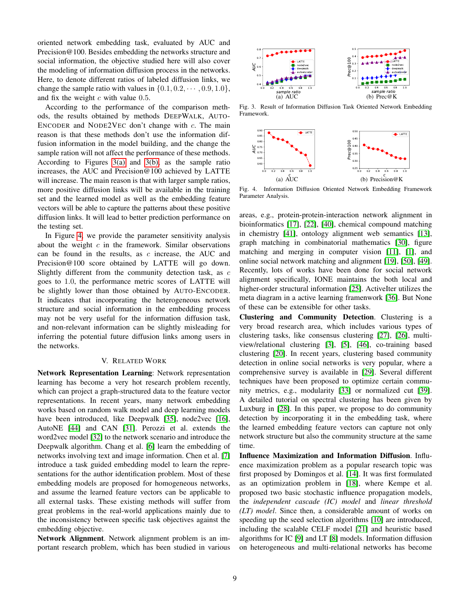oriented network embedding task, evaluated by AUC and Precision@100. Besides embedding the networks structure and social information, the objective studied here will also cover the modeling of information diffusion process in the networks. Here, to denote different ratios of labeled diffusion links, we change the sample ratio with values in  $\{0.1, 0.2, \dots, 0.9, 1.0\}$ , and fix the weight  $c$  with value 0.5.

According to the performance of the comparison methods, the results obtained by methods DEEPWALK, AUTO-ENCODER and NODE2VEC don't change with  $c$ . The main reason is that these methods don't use the information diffusion information in the model building, and the change the sample ration will not affect the performance of these methods. According to Figures [3\(a\)](#page-8-1) and [3\(b\),](#page-8-2) as the sample ratio increases, the AUC and Precision@100 achieved by LATTE will increase. The main reason is that with larger sample ratios, more positive diffusion links will be available in the training set and the learned model as well as the embedding feature vectors will be able to capture the patterns about these positive diffusion links. It will lead to better prediction performance on the testing set.

In Figure [4,](#page-8-3) we provide the parameter sensitivity analysis about the weight  $c$  in the framework. Similar observations can be found in the results, as  $c$  increase, the AUC and Precision@100 score obtained by LATTE will go down. Slightly different from the community detection task, as  $c$ goes to 1.0, the performance metric scores of LATTE will be slightly lower than those obtained by AUTO-ENCODER. It indicates that incorporating the heterogeneous network structure and social information in the embedding process may not be very useful for the information diffusion task, and non-relevant information can be slightly misleading for inferring the potential future diffusion links among users in the networks.

#### V. RELATED WORK

Network Representation Learning: Network representation learning has become a very hot research problem recently, which can project a graph-structured data to the feature vector representations. In recent years, many network embedding works based on random walk model and deep learning models have been introduced, like Deepwalk [\[35\]](#page-9-2), node2vec [\[16\]](#page-9-4), AutoNE [\[44\]](#page-9-19) and CAN [\[31\]](#page-9-20). Perozzi et al. extends the word2vec model [\[32\]](#page-9-14) to the network scenario and introduce the Deepwalk algorithm. Chang et al. [\[6\]](#page-9-9) learn the embedding of networks involving text and image information. Chen et al. [\[7\]](#page-9-21) introduce a task guided embedding model to learn the representations for the author identification problem. Most of these embedding models are proposed for homogeneous networks, and assume the learned feature vectors can be applicable to all external tasks. These existing methods will suffer from great problems in the real-world applications mainly due to the inconsistency between specific task objectives against the embedding objective.

Network Alignment. Network alignment problem is an important research problem, which has been studied in various

<span id="page-8-2"></span><span id="page-8-1"></span><span id="page-8-0"></span>

Fig. 3. Result of Information Diffusion Task Oriented Network Embedding Framework.

<span id="page-8-3"></span>

Fig. 4. Information Diffusion Oriented Network Embedding Framework Parameter Analysis.

areas, e.g., protein-protein-interaction network alignment in bioinformatics [\[17\]](#page-9-22), [\[22\]](#page-9-23), [\[40\]](#page-9-24), chemical compound matching in chemistry [\[41\]](#page-9-25), ontology alignment web semantics [\[13\]](#page-9-26), graph matching in combinatorial mathematics [\[30\]](#page-9-27), figure matching and merging in computer vision [\[11\]](#page-9-28), [\[1\]](#page-9-29), and online social network matching and alignment [\[19\]](#page-9-5), [\[50\]](#page-10-3), [\[49\]](#page-10-4). Recently, lots of works have been done for social network alignment specifically, IONE maintains the both local and higher-order structural information [\[25\]](#page-9-30). ActiveIter utilizes the meta diagram in a active learning framenwork [\[36\]](#page-9-31). But None of these can be extensible for other tasks.

Clustering and Community Detection. Clustering is a very broad research area, which includes various types of clustering tasks, like consensus clustering [\[27\]](#page-9-32), [\[26\]](#page-9-33), multiview/relational clustering [\[3\]](#page-9-34), [\[5\]](#page-9-35), [\[46\]](#page-10-5), co-training based clustering [\[20\]](#page-9-36). In recent years, clustering based community detection in online social networks is very popular, where a comprehensive survey is available in [\[29\]](#page-9-37). Several different techniques have been proposed to optimize certain community metrics, e.g., modularity [\[33\]](#page-9-38) or normalized cut [\[39\]](#page-9-12). A detailed tutorial on spectral clustering has been given by Luxburg in [\[28\]](#page-9-6). In this paper, we propose to do community detection by incorporating it in the embedding task, where the learned embedding feature vectors can capture not only network structure but also the community structure at the same time.

Influence Maximization and Information Diffusion. Influence maximization problem as a popular research topic was first proposed by Domingos et al. [\[14\]](#page-9-7). It was first formulated as an optimization problem in [\[18\]](#page-9-8), where Kempe et al. proposed two basic stochastic influence propagation models, the *independent cascade (IC) model* and *linear threshold (LT) model*. Since then, a considerable amount of works on speeding up the seed selection algorithms [\[10\]](#page-9-39) are introduced, including the scalable CELF model [\[21\]](#page-9-40) and heuristic based algorithms for IC [\[9\]](#page-9-41) and LT [\[8\]](#page-9-42) models. Information diffusion on heterogeneous and multi-relational networks has become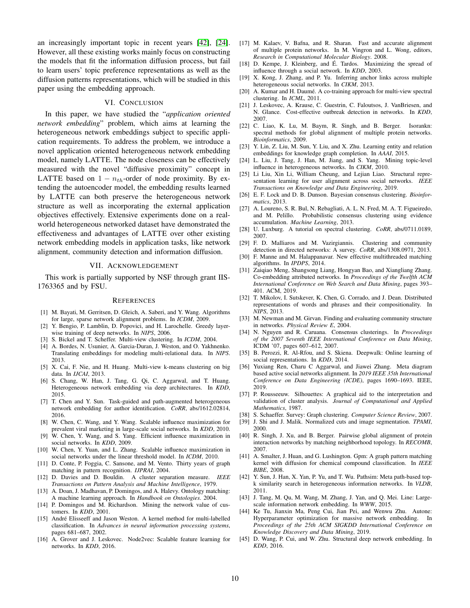an increasingly important topic in recent years [\[42\]](#page-9-43), [\[24\]](#page-9-44). However, all these existing works mainly focus on constructing the models that fit the information diffusion process, but fail to learn users' topic preference representations as well as the diffusion patterns representations, which will be studied in this paper using the embedding approach.

#### VI. CONCLUSION

In this paper, we have studied the "*application oriented network embedding*" problem, which aims at learning the heterogeneous network embeddings subject to specific application requirements. To address the problem, we introduce a novel application oriented heterogeneous network embedding model, namely LATTE. The node closeness can be effectively measured with the novel "diffusive proximity" concept in LATTE based on  $1 - n_{th}$ -order of node proximity. By extending the autoencoder model, the embedding results learned by LATTE can both preserve the heterogeneous network structure as well as incorporating the external application objectives effectively. Extensive experiments done on a realworld heterogeneous networked dataset have demonstrated the effectiveness and advantages of LATTE over other existing network embedding models in application tasks, like network alignment, community detection and information diffusion.

## VII. ACKNOWLEDGEMENT

This work is partially supported by NSF through grant IIS-1763365 and by FSU.

#### **REFERENCES**

- <span id="page-9-29"></span>[1] M. Bayati, M. Gerritsen, D. Gleich, A. Saberi, and Y. Wang. Algorithms for large, sparse network alignment problems. In *ICDM*, 2009.
- <span id="page-9-13"></span>[2] Y. Bengio, P. Lamblin, D. Popovici, and H. Larochelle. Greedy layerwise training of deep networks. In *NIPS*, 2006.
- <span id="page-9-34"></span>[3] S. Bickel and T. Scheffer. Multi-view clustering. In *ICDM*, 2004.
- <span id="page-9-0"></span>[4] A. Bordes, N. Usunier, A. Garcia-Duran, J. Weston, and O. Yakhnenko. Translating embeddings for modeling multi-relational data. In *NIPS*. 2013.
- <span id="page-9-35"></span>[5] X. Cai, F. Nie, and H. Huang. Multi-view k-means clustering on big data. In *IJCAI*, 2013.
- <span id="page-9-9"></span>[6] S. Chang, W. Han, J. Tang, G. Qi, C. Aggarwal, and T. Huang. Heterogeneous network embedding via deep architectures. In *KDD*, 2015.
- <span id="page-9-21"></span>[7] T. Chen and Y. Sun. Task-guided and path-augmented heterogeneous network embedding for author identification. *CoRR*, abs/1612.02814, 2016.
- <span id="page-9-42"></span>[8] W. Chen, C. Wang, and Y. Wang. Scalable influence maximization for prevalent viral marketing in large-scale social networks. In *KDD*, 2010.
- <span id="page-9-41"></span>[9] W. Chen, Y. Wang, and S. Yang. Efficient influence maximization in social networks. In *KDD*, 2009.
- <span id="page-9-39"></span>[10] W. Chen, Y. Yuan, and L. Zhang. Scalable influence maximization in social networks under the linear threshold model. In *ICDM*, 2010.
- <span id="page-9-28"></span>[11] D. Conte, P. Foggia, C. Sansone, and M. Vento. Thirty years of graph matching in pattern recognition. *IJPRAI*, 2004.
- <span id="page-9-15"></span>[12] D. Davies and D. Bouldin. A cluster separation measure. *IEEE Transactions on Pattern Analysis and Machine Intelligence*, 1979.
- <span id="page-9-26"></span>[13] A. Doan, J. Madhavan, P. Domingos, and A. Halevy. Ontology matching: A machine learning approach. In *Handbook on Ontologies*. 2004.
- <span id="page-9-7"></span>[14] P. Domingos and M. Richardson. Mining the network value of customers. In *KDD*, 2001.
- <span id="page-9-11"></span>[15] André Elisseeff and Jason Weston. A kernel method for multi-labelled classification. In *Advances in neural information processing systems*, pages 681–687, 2002.
- <span id="page-9-4"></span>[16] A. Grover and J. Leskovec. Node2vec: Scalable feature learning for networks. In *KDD*, 2016.
- <span id="page-9-22"></span>[17] M. Kalaev, V. Bafna, and R. Sharan. Fast and accurate alignment of multiple protein networks. In M. Vingron and L. Wong, editors, *Research in Computational Molecular Biology*. 2008.
- <span id="page-9-8"></span>[18] D. Kempe, J. Kleinberg, and E. Tardos. Maximizing the spread of ´ influence through a social network. In *KDD*, 2003.
- <span id="page-9-5"></span>[19] X. Kong, J. Zhang, and P. Yu. Inferring anchor links across multiple heterogeneous social networks. In *CIKM*, 2013.
- <span id="page-9-36"></span>[20] A. Kumar and H. Daumé. A co-training approach for multi-view spectral clustering. In *ICML*, 2011.
- <span id="page-9-40"></span>[21] J. Leskovec, A. Krause, C. Guestrin, C. Faloutsos, J. VanBriesen, and N. Glance. Cost-effective outbreak detection in networks. In *KDD*, 2007.
- <span id="page-9-23"></span>[22] C. Liao, K. Lu, M. Baym, R. Singh, and B. Berger. Isorankn: spectral methods for global alignment of multiple protein networks. *Bioinformatics*, 2009.
- <span id="page-9-1"></span>[23] Y. Lin, Z. Liu, M. Sun, Y. Liu, and X. Zhu. Learning entity and relation embeddings for knowledge graph completion. In *AAAI*, 2015.
- <span id="page-9-44"></span>[24] L. Liu, J. Tang, J. Han, M. Jiang, and S. Yang. Mining topic-level influence in heterogeneous networks. In *CIKM*, 2010.
- <span id="page-9-30"></span>[25] Li Liu, Xin Li, William Cheung, and Lejian Liao. Structural representation learning for user alignment across social networks. *IEEE Transactions on Knowledge and Data Engineering*, 2019.
- <span id="page-9-33"></span>[26] E. F. Lock and D. B. Dunson. Bayesian consensus clustering. *Bioinformatics*, 2013.
- <span id="page-9-32"></span>[27] A. Loureno, S. R. Bul, N. Rebagliati, A. L. N. Fred, M. A. T. Figueiredo, and M. Pelillo. Probabilistic consensus clustering using evidence accumulation. *Machine Learning*, 2013.
- <span id="page-9-6"></span>[28] U. Luxburg. A tutorial on spectral clustering. *CoRR*, abs/0711.0189, 2007.
- <span id="page-9-37"></span>[29] F. D. Malliaros and M. Vazirgiannis. Clustering and community detection in directed networks: A survey. *CoRR*, abs/1308.0971, 2013.
- <span id="page-9-27"></span>[30] F. Manne and M. Halappanavar. New effective multithreaded matching algorithms. In *IPDPS*, 2014.
- <span id="page-9-20"></span>[31] Zaiqiao Meng, Shangsong Liang, Hongyan Bao, and Xiangliang Zhang. Co-embedding attributed networks. In *Proceedings of the Twelfth ACM International Conference on Web Search and Data Mining*, pages 393– 401. ACM, 2019.
- <span id="page-9-14"></span>[32] T. Mikolov, I. Sutskever, K. Chen, G. Corrado, and J. Dean. Distributed representations of words and phrases and their compositionality. In *NIPS*, 2013.
- <span id="page-9-38"></span>[33] M. Newman and M. Girvan. Finding and evaluating community structure in networks. *Physical Review E*, 2004.
- <span id="page-9-18"></span>[34] N. Nguyen and R. Caruana. Consensus clusterings. In *Proceedings of the 2007 Seventh IEEE International Conference on Data Mining*, ICDM '07, pages 607–612, 2007.
- <span id="page-9-2"></span>[35] B. Perozzi, R. Al-Rfou, and S. Skiena. Deepwalk: Online learning of social representations. In *KDD*, 2014.
- <span id="page-9-31"></span>[36] Yuxiang Ren, Charu C Aggarwal, and Jiawei Zhang. Meta diagram based active social networks alignment. In *2019 IEEE 35th International Conference on Data Engineering (ICDE)*, pages 1690–1693. IEEE, 2019.
- <span id="page-9-16"></span>[37] P. Rousseeuw. Silhouettes: A graphical aid to the interpretation and validation of cluster analysis. *Journal of Computational and Applied Mathematics*, 1987.
- <span id="page-9-17"></span>[38] S. Schaeffer. Survey: Graph clustering. *Computer Science Review*, 2007.
- <span id="page-9-12"></span>[39] J. Shi and J. Malik. Normalized cuts and image segmentation. *TPAMI*, 2000.
- <span id="page-9-24"></span>[40] R. Singh, J. Xu, and B. Berger. Pairwise global alignment of protein interaction networks by matching neighborhood topology. In *RECOMB*, 2007.
- <span id="page-9-25"></span>[41] A. Smalter, J. Huan, and G. Lushington. Gpm: A graph pattern matching kernel with diffusion for chemical compound classification. In *IEEE BIBE*, 2008.
- <span id="page-9-43"></span>[42] Y. Sun, J. Han, X. Yan, P. Yu, and T. Wu. Pathsim: Meta path-based topk similarity search in heterogeneous information networks. In *VLDB*, 2011.
- <span id="page-9-3"></span>[43] J. Tang, M. Qu, M. Wang, M. Zhang, J. Yan, and Q. Mei. Line: Largescale information network embedding. In *WWW*, 2015.
- <span id="page-9-19"></span>[44] Ke Tu, Jianxin Ma, Peng Cui, Jian Pei, and Wenwu Zhu. Autone: Hyperparameter optimization for massive network embedding. In *Proceedings of the 25th ACM SIGKDD International Conference on Knowledge Discovery and Data Mining*, 2019.
- <span id="page-9-10"></span>[45] D. Wang, P. Cui, and W. Zhu. Structural deep network embedding. In *KDD*, 2016.